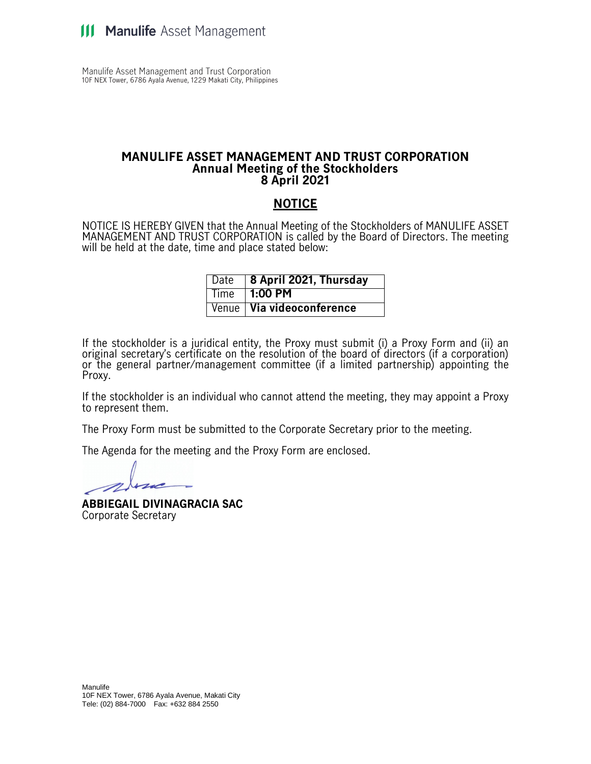Manulife Asset Management and Trust Corporation 10F NEX Tower, 6786 Ayala Avenue, 1229 Makati City, Philippines

#### **MANULIFE ASSET MANAGEMENT AND TRUST CORPORATION Annual Meeting of the Stockholders 8 April 2021**

#### **NOTICE**

NOTICE IS HEREBY GIVEN that the Annual Meeting of the Stockholders of MANULIFE ASSET MANAGEMENT AND TRUST CORPORATION is called by the Board of Directors. The meeting will be held at the date, time and place stated below:

| Date   8 April 2021, Thursday      |
|------------------------------------|
| $\sqrt{ }$ Time $\sqrt{ }$ 1:00 PM |
| Venue Via videoconference          |

If the stockholder is a juridical entity, the Proxy must submit (i) a Proxy Form and (ii) an original secretary's certificate on the resolution of the board of directors (if a corporation) or the general partner/management committee (if a limited partnership) appointing the Proxy.

If the stockholder is an individual who cannot attend the meeting, they may appoint a Proxy to represent them.

The Proxy Form must be submitted to the Corporate Secretary prior to the meeting.

The Agenda for the meeting and the Proxy Form are enclosed.

**ABBIEGAIL DIVINAGRACIA SAC** Corporate Secretary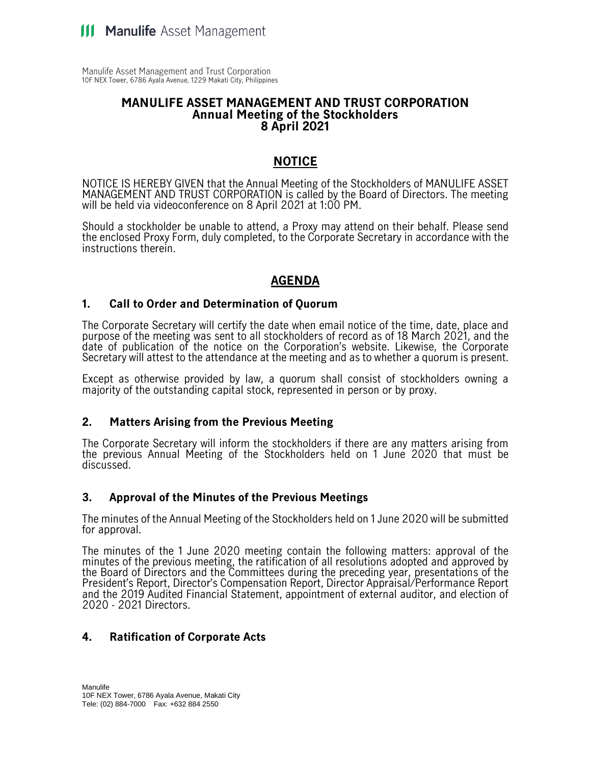Manulife Asset Management and Trust Corporation 10F NEX Tower, 6786 Ayala Avenue, 1229 Makati City, Philippines

#### **MANULIFE ASSET MANAGEMENT AND TRUST CORPORATION Annual Meeting of the Stockholders 8 April 2021**

# **NOTICE**

NOTICE IS HEREBY GIVEN that the Annual Meeting of the Stockholders of MANULIFE ASSET MANAGEMENT AND TRUST CORPORATION is called by the Board of Directors. The meeting will be held via videoconference on 8 April 2021 at 1:00 PM.

Should a stockholder be unable to attend, a Proxy may attend on their behalf. Please send the enclosed Proxy Form, duly completed, to the Corporate Secretary in accordance with the instructions therein.

# **AGENDA**

#### **1. Call to Order and Determination of Quorum**

The Corporate Secretary will certify the date when email notice of the time, date, place and purpose of the meeting was sent to all stockholders of record as of 18 March 2021, and the date of publication of the notice on the Corporation's website. Likewise, the Corporate Secretary will attest to the attendance at the meeting and as to whether a quorum is present.

Except as otherwise provided by law, a quorum shall consist of stockholders owning a majority of the outstanding capital stock, represented in person or by proxy.

#### **2. Matters Arising from the Previous Meeting**

The Corporate Secretary will inform the stockholders if there are any matters arising from the previous Annual Meeting of the Stockholders held on 1 June 2020 that must be discussed.

## **3. Approval of the Minutes of the Previous Meetings**

The minutes of the Annual Meeting of the Stockholders held on 1 June 2020 will be submitted for approval.

The minutes of the 1 June 2020 meeting contain the following matters: approval of the minutes of the previous meeting, the ratification of all resolutions adopted and approved by the Board of Directors and the Committees during the preceding year, presentations of the President's Report, Director's Compensation Report, Director Appraisal/Performance Report and the 2019 Audited Financial Statement, appointment of external auditor, and election of 2020 - 2021 Directors.

## **4. Ratification of Corporate Acts**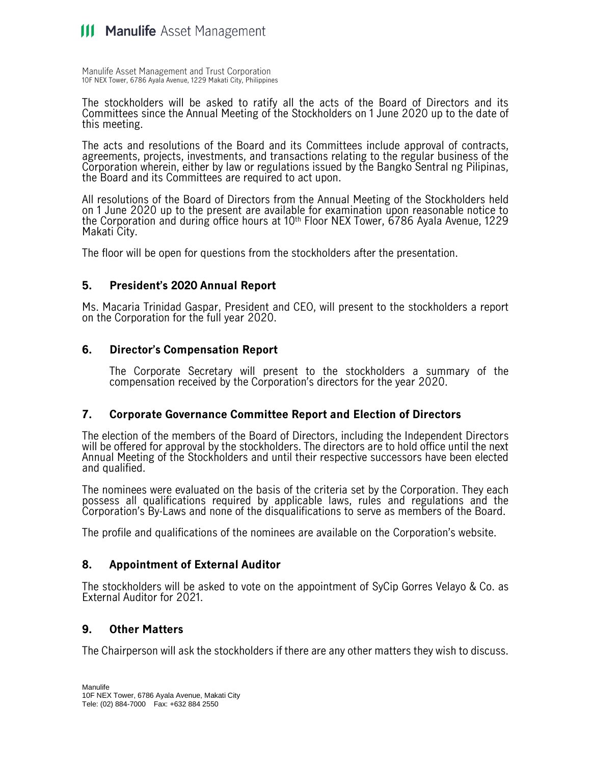Manulife Asset Management and Trust Corporation 10F NEX Tower, 6786 Ayala Avenue, 1229 Makati City, Philippines

The stockholders will be asked to ratify all the acts of the Board of Directors and its Committees since the Annual Meeting of the Stockholders on 1 June 2020 up to the date of this meeting.

The acts and resolutions of the Board and its Committees include approval of contracts, agreements, projects, investments, and transactions relating to the regular business of the Corporation wherein, either by law or regulations issued by the Bangko Sentral ng Pilipinas, the Board and its Committees are required to act upon.

All resolutions of the Board of Directors from the Annual Meeting of the Stockholders held on 1 June 2020 up to the present are available for examination upon reasonable notice to the Corporation and during office hours at 10th Floor NEX Tower, 6786 Ayala Avenue, 1229 Makati City.

The floor will be open for questions from the stockholders after the presentation.

## **5. President's 2020 Annual Report**

Ms. Macaria Trinidad Gaspar, President and CEO, will present to the stockholders a report on the Corporation for the full year 2020.

## **6. Director's Compensation Report**

The Corporate Secretary will present to the stockholders a summary of the compensation received by the Corporation's directors for the year 2020.

#### **7. Corporate Governance Committee Report and Election of Directors**

The election of the members of the Board of Directors, including the Independent Directors will be offered for approval by the stockholders. The directors are to hold office until the next Annual Meeting of the Stockholders and until their respective successors have been elected and qualified.

The nominees were evaluated on the basis of the criteria set by the Corporation. They each possess all qualifications required by applicable laws, rules and regulations and the Corporation's By-Laws and none of the disqualifications to serve as members of the Board.

The profile and qualifications of the nominees are available on the Corporation's website.

## **8. Appointment of External Auditor**

The stockholders will be asked to vote on the appointment of SyCip Gorres Velayo & Co. as External Auditor for 2021.

## **9. Other Matters**

The Chairperson will ask the stockholders if there are any other matters they wish to discuss.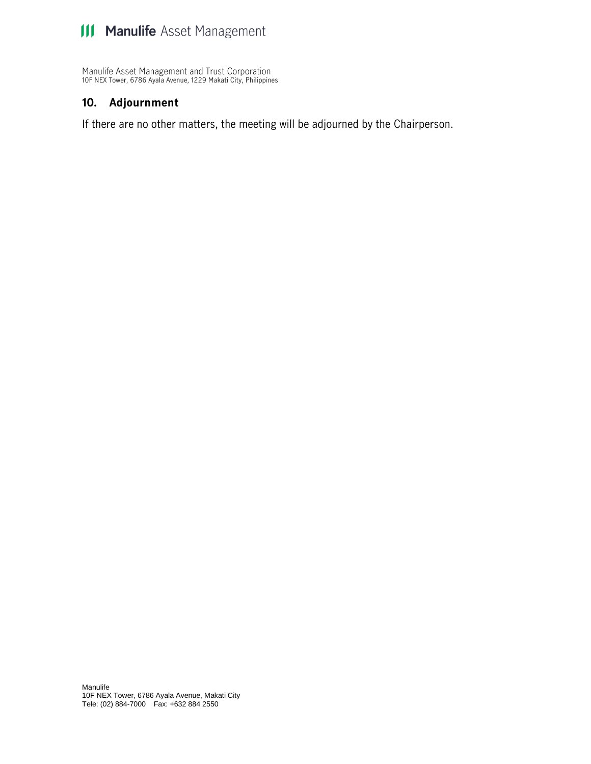Manulife Asset Management and Trust Corporation 10F NEX Tower, 6786 Ayala Avenue, 1229 Makati City, Philippines

#### **10. Adjournment**

If there are no other matters, the meeting will be adjourned by the Chairperson.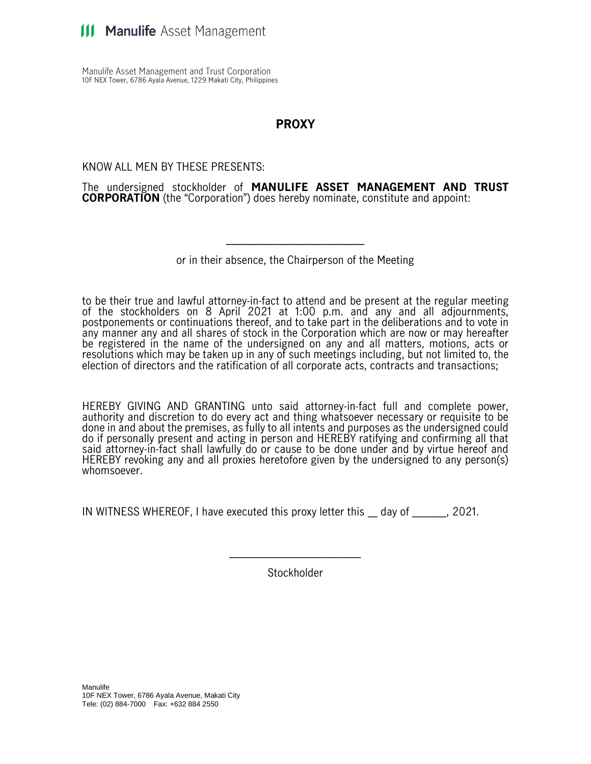Manulife Asset Management and Trust Corporation 10F NEX Tower, 6786 Ayala Avenue, 1229 Makati City, Philippines

# **PROXY**

KNOW ALL MEN BY THESE PRESENTS:

The undersigned stockholder of **MANULIFE ASSET MANAGEMENT AND TRUST CORPORATION** (the "Corporation") does hereby nominate, constitute and appoint:

or in their absence, the Chairperson of the Meeting

\_\_\_\_\_\_\_\_\_\_\_\_\_\_\_\_\_\_\_\_\_\_\_\_\_\_

to be their true and lawful attorney-in-fact to attend and be present at the regular meeting of the stockholders on 8 April 2021 at 1:00 p.m. and any and all adjournments, postponements or continuations thereof, and to take part in the deliberations and to vote in any manner any and all shares of stock in the Corporation which are now or may hereafter be registered in the name of the undersigned on any and all matters, motions, acts or resolutions which may be taken up in any of such meetings including, but not limited to, the election of directors and the ratification of all corporate acts, contracts and transactions;

HEREBY GIVING AND GRANTING unto said attorney-in-fact full and complete power, authority and discretion to do every act and thing whatsoever necessary or requisite to be done in and about the premises, as fully to all intents and purposes as the undersigned could do if personally present and acting in person and HEREBY ratifying and confirming all that said attorney-in-fact shall lawfully do or cause to be done under and by virtue hereof and HEREBY revoking any and all proxies heretofore given by the undersigned to any person(s) whomsoever.

IN WITNESS WHEREOF, I have executed this proxy letter this \_\_ day of \_\_\_\_\_\_\_, 2021.

Stockholder

\_\_\_\_\_\_\_\_\_\_\_\_\_\_\_\_\_\_\_\_\_\_\_\_\_\_\_